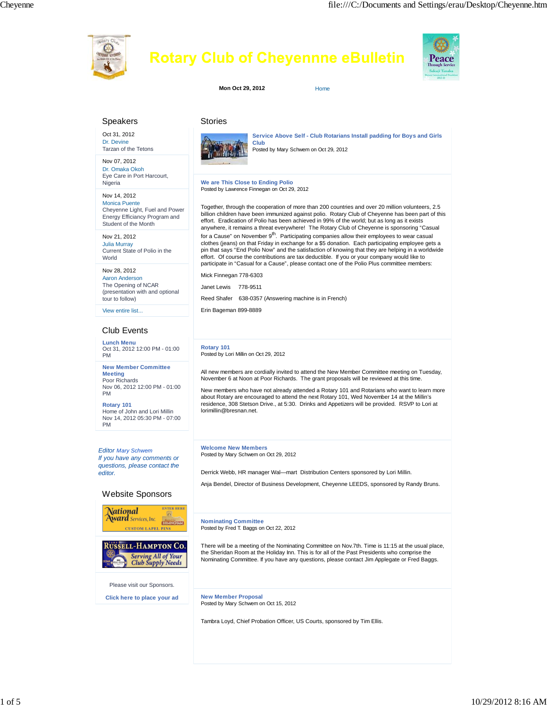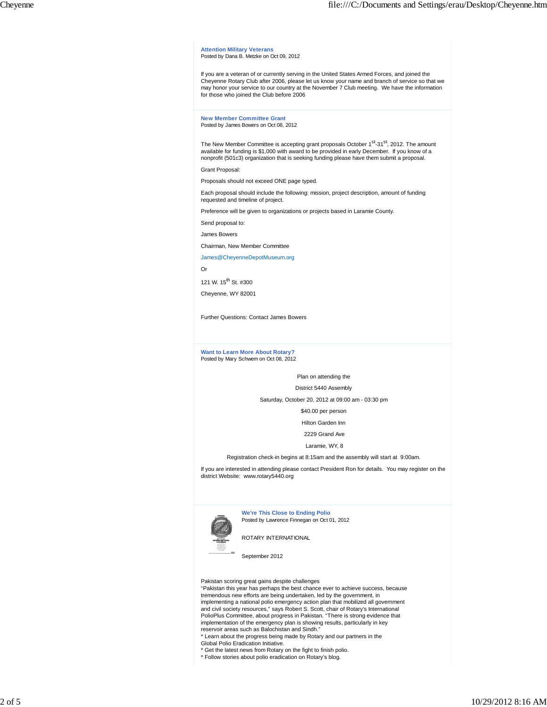**Attention Military Veterans** Posted by Dana B. Metzke on Oct 09, 2012 If you are a veteran of or currently serving in the United States Armed Forces, and joined the Cheyenne Rotary Club after 2006, please let us know your name and branch of service so that we may honor your service to our country at the November 7 Club meeting. We have the information for those who joined the Club before 2006 **New Member Committee Grant** Posted by James Bowers on Oct 08, 2012 The New Member Committee is accepting grant proposals October 1<sup>st</sup>-31<sup>st</sup>, 2012. The amount<br>available for funding is \$1,000 with award to be provided in early December. If you know of a nonprofit (501c3) organization that is seeking funding please have them submit a proposal. Grant Proposal: Proposals should not exceed ONE page typed. Each proposal should include the following: mission, project description, amount of funding requested and timeline of project. Preference will be given to organizations or projects based in Laramie County. Send proposal to: James Bowers Chairman, New Member Committee James@CheyenneDepotMuseum.org Or 121 W. 15<sup>th</sup> St. #300 Cheyenne, WY 82001 Further Questions: Contact James Bowers **Want to Learn More About Rotary?** Posted by Mary Schwem on Oct 08, 2012 Plan on attending the District 5440 Assembly Saturday, October 20, 2012 at 09:00 am - 03:30 pm \$40.00 per person Hilton Garden Inn 2229 Grand Ave Laramie, WY, 8 Registration check-in begins at 8:15am and the assembly will start at 9:00am. If you are interested in attending please contact President Ron for details. You may register on the district Website: www.rotary5440.org **We're This Close to Ending Polio** Posted by Lawrence Finnegan on Oct 01, 2012 ROTARY INTERNATIONAL September 2012

Pakistan scoring great gains despite challenges "Pakistan this year has perhaps the best chance ever to achieve success, because tremendous new efforts are being undertaken, led by the government, in implementing a national polio emergency action plan that mobilized all government and civil society resources," says Robert S. Scott, chair of Rotary's International PolioPlus Committee, about progress in Pakistan. "There is strong evidence that implementation of the emergency plan is showing results, particularly in key reservoir areas such as Balochistan and Sindh."

\* Learn about the progress being made by Rotary and our partners in the Global Polio Eradication Initiative.

Get the latest news from Rotary on the fight to finish polio.

\* Follow stories about polio eradication on Rotary's blog.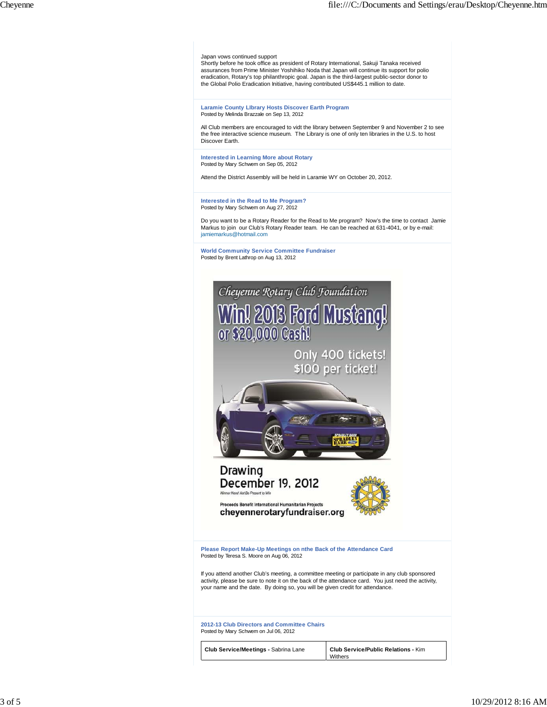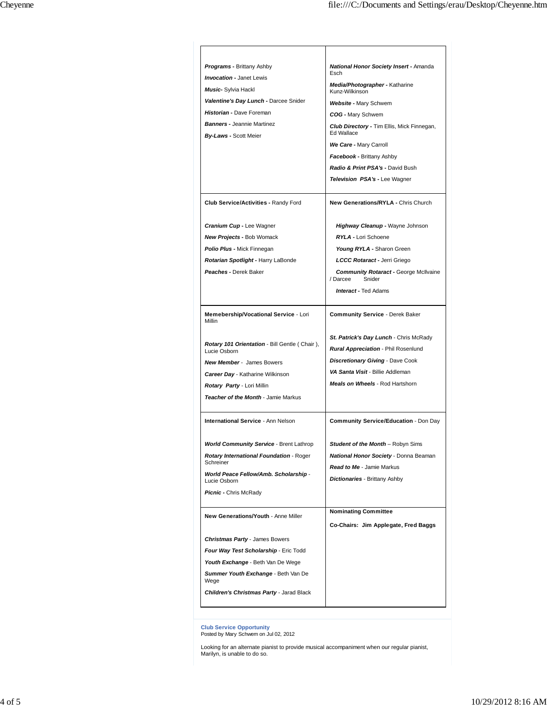| <b>Programs - Brittany Ashby</b>                                  |                                                                    |
|-------------------------------------------------------------------|--------------------------------------------------------------------|
|                                                                   | <b>National Honor Society Insert - Amanda</b>                      |
| Invocation - Janet Lewis                                          | Esch<br>Media/Photographer - Katharine                             |
| Music- Sylvia Hackl                                               | Kunz-Wilkinson                                                     |
| Valentine's Day Lunch - Darcee Snider                             | Website - Mary Schwem                                              |
| Historian - Dave Foreman                                          | COG - Mary Schwem                                                  |
| <b>Banners - Jeannie Martinez</b><br><b>By-Laws - Scott Meier</b> | <b>Club Directory - Tim Ellis, Mick Finnegan,</b><br>Ed Wallace    |
|                                                                   | We Care - Mary Carroll                                             |
|                                                                   | Facebook - Brittany Ashby                                          |
|                                                                   | Radio & Print PSA's - David Bush                                   |
|                                                                   | Television PSA's - Lee Wagner                                      |
| <b>Club Service/Activities - Randy Ford</b>                       | New Generations/RYLA - Chris Church                                |
| Cranium Cup - Lee Wagner                                          | <b>Highway Cleanup - Wayne Johnson</b>                             |
| New Projects - Bob Womack                                         | RYLA - Lori Schoene                                                |
| <b>Polio Plus - Mick Finnegan</b>                                 | Young RYLA - Sharon Green                                          |
| Rotarian Spotlight - Harry LaBonde                                | LCCC Rotaract - Jerri Griego                                       |
| Peaches - Derek Baker                                             | <b>Community Rotaract - George McIlvaine</b><br>/ Darcee<br>Snider |
|                                                                   | <b>Interact - Ted Adams</b>                                        |
| Memebership/Vocational Service - Lori<br>Millin                   | <b>Community Service - Derek Baker</b>                             |
|                                                                   | St. Patrick's Day Lunch - Chris McRady                             |
| Rotary 101 Orientation - Bill Gentle (Chair),<br>Lucie Osborn     | <b>Rural Appreciation - Phil Rosenlund</b>                         |
| <b>New Member - James Bowers</b>                                  | <b>Discretionary Giving - Dave Cook</b>                            |
| Career Day - Katharine Wilkinson                                  | VA Santa Visit - Billie Addleman                                   |
| Rotary Party - Lori Millin                                        | <b>Meals on Wheels - Rod Hartshorn</b>                             |
| Teacher of the Month - Jamie Markus                               |                                                                    |
| <b>International Service - Ann Nelson</b>                         | Community Service/Education - Don Day                              |
| <b>World Community Service - Brent Lathrop</b>                    | <b>Student of the Month</b> - Robyn Sims                           |
| Rotary International Foundation - Roger                           | National Honor Society - Donna Beaman                              |
| Schreiner                                                         | Read to Me - Jamie Markus                                          |
| World Peace Fellow/Amb. Scholarship -<br>Lucie Osborn             | <b>Dictionaries</b> - Brittany Ashby                               |
| Picnic - Chris McRady                                             |                                                                    |
| New Generations/Youth - Anne Miller                               | <b>Nominating Committee</b>                                        |
|                                                                   | Co-Chairs: Jim Applegate, Fred Baggs                               |
|                                                                   |                                                                    |
| <b>Christmas Party - James Bowers</b>                             |                                                                    |
| Four Way Test Scholarship - Eric Todd                             |                                                                    |
| Youth Exchange - Beth Van De Wege                                 |                                                                    |
| Summer Youth Exchange - Beth Van De<br>Wege                       |                                                                    |

**Club Service Opportunity** Posted by Mary Schwem on Jul 02, 2012

Looking for an alternate pianist to provide musical accompaniment when our regular pianist, Marilyn, is unable to do so.